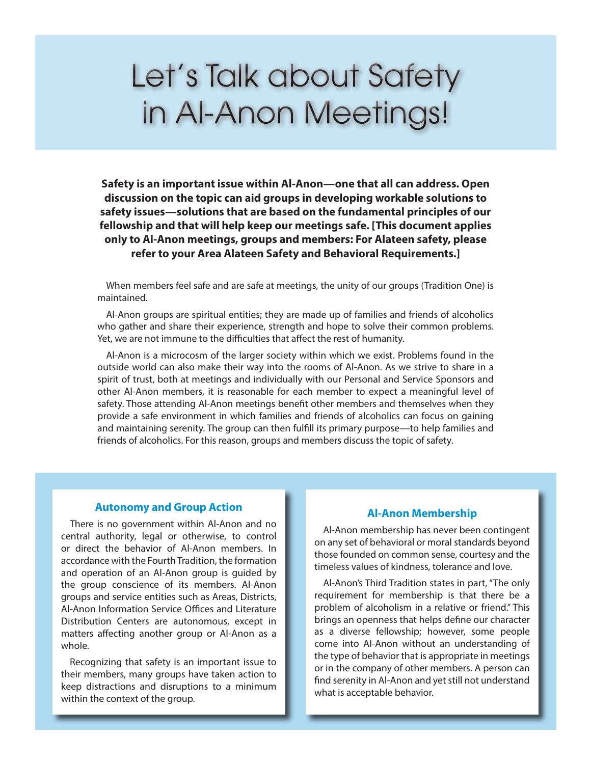# Let's Talk about Safety in Al-Anon Meetings!

**Safety is an important issue within Al‑Anon—one that all can address. Open discussion on the topic can aid groups in developing workable solutions to safety issues—solutions that are based on the fundamental principles of our fellowship and that will help keep our meetings safe. [This document applies only to Al‑Anon meetings, groups and members: For Alateen safety, please refer to your Area Alateen Safety and Behavioral Requirements.]** 

When members feel safe and are safe at meetings, the unity of our groups (Tradition One) is maintained.

Al-Anon groups are spiritual entities; they are made up of families and friends of alcoholics who gather and share their experience, strength and hope to solve their common problems. Yet, we are not immune to the difficulties that affect the rest of humanity.

Al-Anon is a microcosm of the larger society within which we exist. Problems found in the outside world can also make their way into the rooms of Al‑Anon. As we strive to share in a spirit of trust, both at meetings and individually with our Personal and Service Sponsors and other Al‑Anon members, it is reasonable for each member to expect a meaningful level of safety. Those attending Al-Anon meetings benefit other members and themselves when they provide a safe environment in which families and friends of alcoholics can focus on gaining and maintaining serenity. The group can then fulfill its primary purpose—to help families and friends of alcoholics. For this reason, groups and members discuss the topic of safety.

# **Autonomy and Group Action**

There is no government within Al-Anon and no central authority, legal or otherwise, to control or direct the behavior of Al‑Anon members. In accordance with the Fourth Tradition, the formation and operation of an Al-Anon group is guided by the group conscience of its members. Al-Anon groups and service entities such as Areas, Districts, Al‑Anon Information Service Offices and Literature Distribution Centers are autonomous, except in matters affecting another group or Al-Anon as a whole.

Recognizing that safety is an important issue to their members, many groups have taken action to keep distractions and disruptions to a minimum within the context of the group.

#### **Al‑Anon Membership**

Al‑Anon membership has never been contingent on any set of behavioral or moral standards beyond those founded on common sense, courtesy and the timeless values of kindness, tolerance and love.

Al‑Anon's Third Tradition states in part, "The only requirement for membership is that there be a problem of alcoholism in a relative or friend." This brings an openness that helps define our character as a diverse fellowship; however, some people come into Al‑Anon without an understanding of the type of behavior that is appropriate in meetings or in the company of other members. A person can find serenity in Al‑Anon and yet still not understand what is acceptable behavior.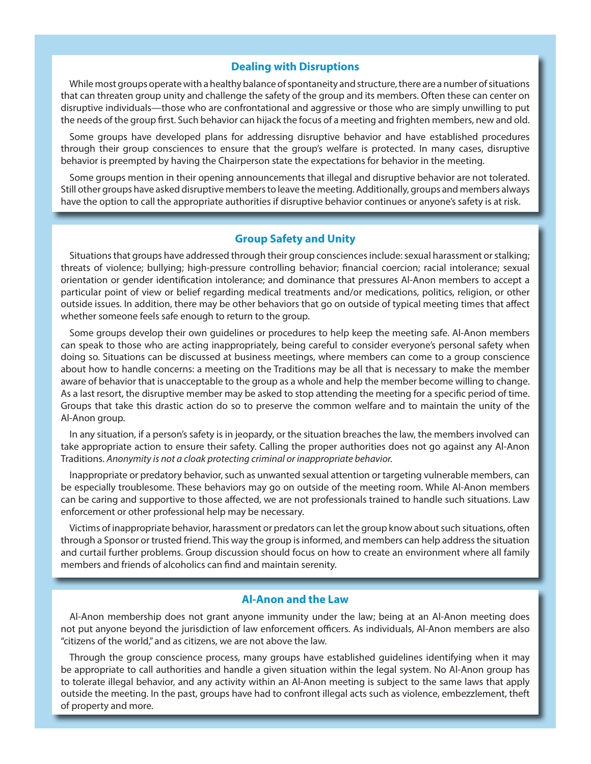#### **Dealing with Disruptions**

While most groups operate with a healthy balance of spontaneity and structure, there are a number of situations that can threaten group unity and challenge the safety of the group and its members. Often these can center on disruptive individuals—those who are confrontational and aggressive or those who are simply unwilling to put the needs of the group first. Such behavior can hijack the focus of a meeting and frighten members, new and old.

Some groups have developed plans for addressing disruptive behavior and have established procedures through their group consciences to ensure that the group's welfare is protected. In many cases, disruptive behavior is preempted by having the Chairperson state the expectations for behavior in the meeting.

Some groups mention in their opening announcements that illegal and disruptive behavior are not tolerated. Still other groups have asked disruptive members to leave the meeting. Additionally, groups and members always have the option to call the appropriate authorities if disruptive behavior continues or anyone's safety is at risk.

# **Group Safety and Unity**

Situations that groups have addressed through their group consciences include: sexual harassment or stalking; threats of violence; bullying; high-pressure controlling behavior; financial coercion; racial intolerance; sexual orientation or gender identification intolerance; and dominance that pressures Al‑Anon members to accept a particular point of view or belief regarding medical treatments and/or medications, politics, religion, or other outside issues. In addition, there may be other behaviors that go on outside of typical meeting times that affect whether someone feels safe enough to return to the group.

Some groups develop their own guidelines or procedures to help keep the meeting safe. Al-Anon members can speak to those who are acting inappropriately, being careful to consider everyone's personal safety when doing so. Situations can be discussed at business meetings, where members can come to a group conscience about how to handle concerns: a meeting on the Traditions may be all that is necessary to make the member aware of behavior that is unacceptable to the group as a whole and help the member become willing to change. As a last resort, the disruptive member may be asked to stop attending the meeting for a specific period of time. Groups that take this drastic action do so to preserve the common welfare and to maintain the unity of the Al‑Anon group.

In any situation, if a person's safety is in jeopardy, or the situation breaches the law, the members involved can take appropriate action to ensure their safety. Calling the proper authorities does not go against any Al‑Anon Traditions. *Anonymity is not a cloak protecting criminal or inappropriate behavior.* 

Inappropriate or predatory behavior, such as unwanted sexual attention or targeting vulnerable members, can be especially troublesome. These behaviors may go on outside of the meeting room. While Al-Anon members can be caring and supportive to those affected, we are not professionals trained to handle such situations. Law enforcement or other professional help may be necessary.

Victims of inappropriate behavior, harassment or predators can let the group know about such situations, often through a Sponsor or trusted friend. This way the group is informed, and members can help address the situation and curtail further problems. Group discussion should focus on how to create an environment where all family members and friends of alcoholics can find and maintain serenity.

# **Al‑Anon and the Law**

Al-Anon membership does not grant anyone immunity under the law; being at an Al-Anon meeting does not put anyone beyond the jurisdiction of law enforcement officers. As individuals, Al‑Anon members are also "citizens of the world," and as citizens, we are not above the law.

Through the group conscience process, many groups have established guidelines identifying when it may be appropriate to call authorities and handle a given situation within the legal system. No Al-Anon group has to tolerate illegal behavior, and any activity within an Al‑Anon meeting is subject to the same laws that apply outside the meeting. In the past, groups have had to confront illegal acts such as violence, embezzlement, theft of property and more.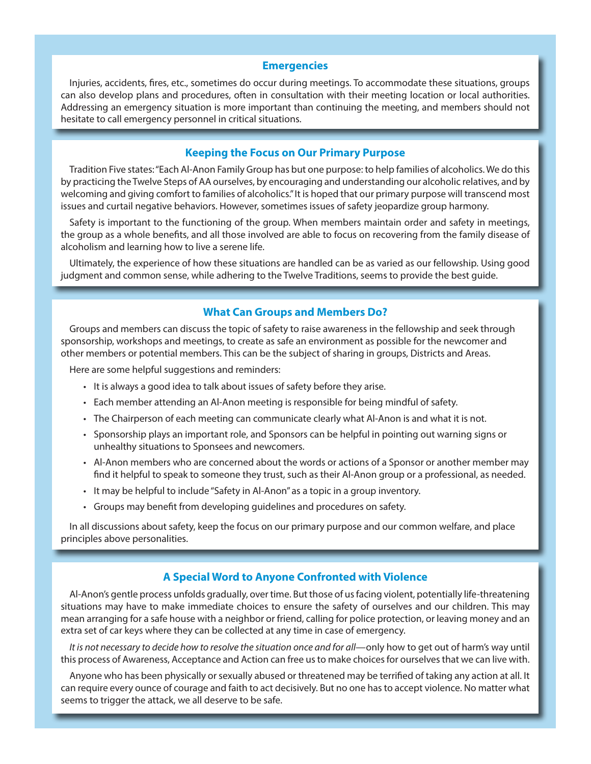#### **Emergencies**

Injuries, accidents, fires, etc., sometimes do occur during meetings. To accommodate these situations, groups can also develop plans and procedures, often in consultation with their meeting location or local authorities. Addressing an emergency situation is more important than continuing the meeting, and members should not hesitate to call emergency personnel in critical situations.

#### **Keeping the Focus on Our Primary Purpose**

Tradition Five states: "Each Al‑Anon Family Group has but one purpose: to help families of alcoholics. We do this by practicing the Twelve Steps of AA ourselves, by encouraging and understanding our alcoholic relatives, and by welcoming and giving comfort to families of alcoholics." It is hoped that our primary purpose will transcend most issues and curtail negative behaviors. However, sometimes issues of safety jeopardize group harmony.

Safety is important to the functioning of the group. When members maintain order and safety in meetings, the group as a whole benefits, and all those involved are able to focus on recovering from the family disease of alcoholism and learning how to live a serene life.

Ultimately, the experience of how these situations are handled can be as varied as our fellowship. Using good judgment and common sense, while adhering to the Twelve Traditions, seems to provide the best guide.

# **What Can Groups and Members Do?**

Groups and members can discuss the topic of safety to raise awareness in the fellowship and seek through sponsorship, workshops and meetings, to create as safe an environment as possible for the newcomer and other members or potential members. This can be the subject of sharing in groups, Districts and Areas.

Here are some helpful suggestions and reminders:

- It is always a good idea to talk about issues of safety before they arise.
- Each member attending an Al‑Anon meeting is responsible for being mindful of safety.
- The Chairperson of each meeting can communicate clearly what Al-Anon is and what it is not.
- Sponsorship plays an important role, and Sponsors can be helpful in pointing out warning signs or unhealthy situations to Sponsees and newcomers.
- Al-Anon members who are concerned about the words or actions of a Sponsor or another member may find it helpful to speak to someone they trust, such as their Al-Anon group or a professional, as needed.
- It may be helpful to include "Safety in Al‑Anon" as a topic in a group inventory.
- Groups may benefit from developing guidelines and procedures on safety.

In all discussions about safety, keep the focus on our primary purpose and our common welfare, and place principles above personalities.

# **A Special Word to Anyone Confronted with Violence**

Al-Anon's gentle process unfolds gradually, over time. But those of us facing violent, potentially life-threatening situations may have to make immediate choices to ensure the safety of ourselves and our children. This may mean arranging for a safe house with a neighbor or friend, calling for police protection, or leaving money and an extra set of car keys where they can be collected at any time in case of emergency.

*It is not necessary to decide how to resolve the situation once and for all*—only how to get out of harm's way until this process of Awareness, Acceptance and Action can free us to make choices for ourselves that we can live with.

Anyone who has been physically or sexually abused or threatened may be terrified of taking any action at all. It can require every ounce of courage and faith to act decisively. But no one has to accept violence. No matter what seems to trigger the attack, we all deserve to be safe.